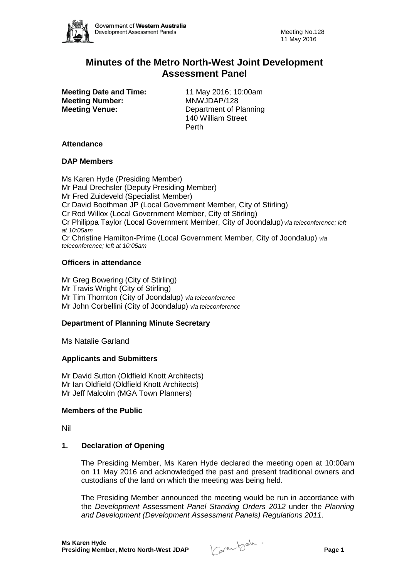

# **Minutes of the Metro North-West Joint Development Assessment Panel**

**Meeting Date and Time:** 11 May 2016; 10:00am<br> **Meeting Number:** MNWJDAP/128 **Meeting Number: Meeting Venue:** Department of Planning

140 William Street Perth

### **Attendance**

### **DAP Members**

Ms Karen Hyde (Presiding Member) Mr Paul Drechsler (Deputy Presiding Member) Mr Fred Zuideveld (Specialist Member) Cr David Boothman JP (Local Government Member, City of Stirling) Cr Rod Willox (Local Government Member, City of Stirling) Cr Philippa Taylor (Local Government Member, City of Joondalup) *via teleconference; left at 10:05am* Cr Christine Hamilton-Prime (Local Government Member, City of Joondalup) *via teleconference; left at 10:05am*

# **Officers in attendance**

Mr Greg Bowering (City of Stirling) Mr Travis Wright (City of Stirling) Mr Tim Thornton (City of Joondalup) *via teleconference* Mr John Corbellini (City of Joondalup) *via teleconference*

# **Department of Planning Minute Secretary**

Ms Natalie Garland

#### **Applicants and Submitters**

Mr David Sutton (Oldfield Knott Architects) Mr Ian Oldfield (Oldfield Knott Architects) Mr Jeff Malcolm (MGA Town Planners)

#### **Members of the Public**

Nil

# **1. Declaration of Opening**

The Presiding Member, Ms Karen Hyde declared the meeting open at 10:00am on 11 May 2016 and acknowledged the past and present traditional owners and custodians of the land on which the meeting was being held.

The Presiding Member announced the meeting would be run in accordance with the *Development* Assessment *Panel Standing Orders 2012* under the *Planning and Development (Development Assessment Panels) Regulations 2011*.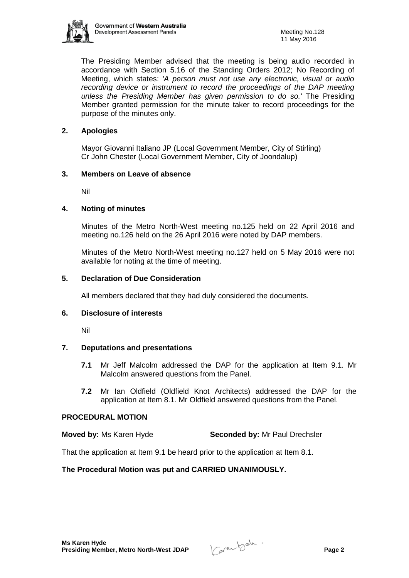

The Presiding Member advised that the meeting is being audio recorded in accordance with Section 5.16 of the Standing Orders 2012; No Recording of Meeting, which states: *'A person must not use any electronic, visual or audio recording device or instrument to record the proceedings of the DAP meeting unless the Presiding Member has given permission to do so.'* The Presiding Member granted permission for the minute taker to record proceedings for the purpose of the minutes only.

# **2. Apologies**

Mayor Giovanni Italiano JP (Local Government Member, City of Stirling) Cr John Chester (Local Government Member, City of Joondalup)

# **3. Members on Leave of absence**

Nil

# **4. Noting of minutes**

Minutes of the Metro North-West meeting no.125 held on 22 April 2016 and meeting no.126 held on the 26 April 2016 were noted by DAP members.

Minutes of the Metro North-West meeting no.127 held on 5 May 2016 were not available for noting at the time of meeting.

# **5. Declaration of Due Consideration**

All members declared that they had duly considered the documents.

# **6. Disclosure of interests**

Nil

# **7. Deputations and presentations**

- **7.1** Mr Jeff Malcolm addressed the DAP for the application at Item 9.1. Mr Malcolm answered questions from the Panel.
- **7.2** Mr Ian Oldfield (Oldfield Knot Architects) addressed the DAP for the application at Item 8.1. Mr Oldfield answered questions from the Panel.

# **PROCEDURAL MOTION**

**Moved by:** Ms Karen Hyde **Seconded by:** Mr Paul Drechsler

That the application at Item 9.1 be heard prior to the application at Item 8.1.

# **The Procedural Motion was put and CARRIED UNANIMOUSLY.**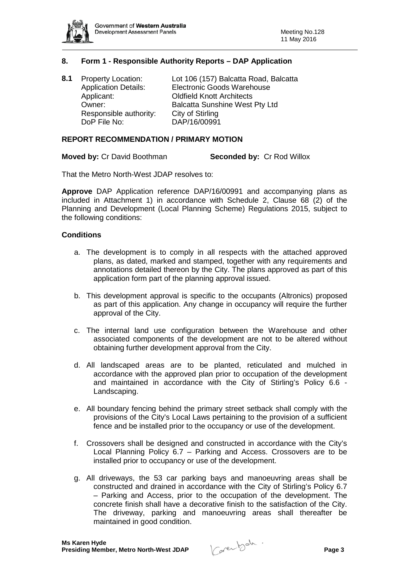

# **8. Form 1 - Responsible Authority Reports – DAP Application**

| 8.1 | <b>Property Location:</b>   | Lot 106 (157) Balcatta Road, Balcatta |
|-----|-----------------------------|---------------------------------------|
|     | <b>Application Details:</b> | <b>Electronic Goods Warehouse</b>     |
|     | Applicant:                  | <b>Oldfield Knott Architects</b>      |
|     | Owner:                      | <b>Balcatta Sunshine West Pty Ltd</b> |
|     | Responsible authority:      | City of Stirling                      |
|     | DoP File No:                | DAP/16/00991                          |
|     |                             |                                       |

#### **REPORT RECOMMENDATION / PRIMARY MOTION**

**Moved by:** Cr David Boothman **Seconded by:** Cr Rod Willox

That the Metro North-West JDAP resolves to:

**Approve** DAP Application reference DAP/16/00991 and accompanying plans as included in Attachment 1) in accordance with Schedule 2, Clause 68 (2) of the Planning and Development (Local Planning Scheme) Regulations 2015, subject to the following conditions:

#### **Conditions**

- a. The development is to comply in all respects with the attached approved plans, as dated, marked and stamped, together with any requirements and annotations detailed thereon by the City. The plans approved as part of this application form part of the planning approval issued.
- b. This development approval is specific to the occupants (Altronics) proposed as part of this application. Any change in occupancy will require the further approval of the City.
- c. The internal land use configuration between the Warehouse and other associated components of the development are not to be altered without obtaining further development approval from the City.
- d. All landscaped areas are to be planted, reticulated and mulched in accordance with the approved plan prior to occupation of the development and maintained in accordance with the City of Stirling's Policy 6.6 - Landscaping.
- e. All boundary fencing behind the primary street setback shall comply with the provisions of the City's Local Laws pertaining to the provision of a sufficient fence and be installed prior to the occupancy or use of the development.
- f. Crossovers shall be designed and constructed in accordance with the City's Local Planning Policy 6.7 – Parking and Access. Crossovers are to be installed prior to occupancy or use of the development.
- g. All driveways, the 53 car parking bays and manoeuvring areas shall be constructed and drained in accordance with the City of Stirling's Policy 6.7 – Parking and Access, prior to the occupation of the development. The concrete finish shall have a decorative finish to the satisfaction of the City. The driveway, parking and manoeuvring areas shall thereafter be maintained in good condition.

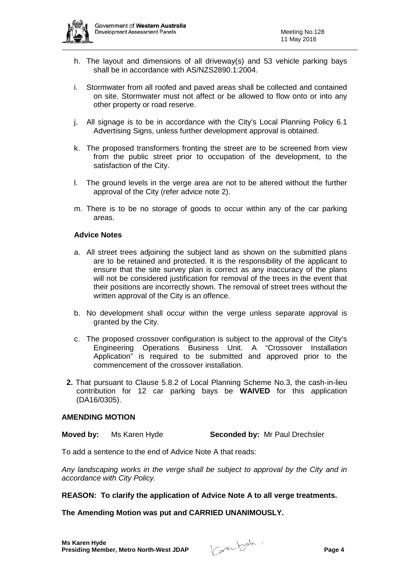

- h. The layout and dimensions of all driveway(s) and 53 vehicle parking bays shall be in accordance with AS/NZS2890.1:2004.
- i. Stormwater from all roofed and paved areas shall be collected and contained on site. Stormwater must not affect or be allowed to flow onto or into any other property or road reserve.
- j. All signage is to be in accordance with the City's Local Planning Policy 6.1 Advertising Signs, unless further development approval is obtained.
- k. The proposed transformers fronting the street are to be screened from view from the public street prior to occupation of the development, to the satisfaction of the City.
- l. The ground levels in the verge area are not to be altered without the further approval of the City (refer advice note 2).
- m. There is to be no storage of goods to occur within any of the car parking areas.

### **Advice Notes**

- a. All street trees adjoining the subject land as shown on the submitted plans are to be retained and protected. It is the responsibility of the applicant to ensure that the site survey plan is correct as any inaccuracy of the plans will not be considered justification for removal of the trees in the event that their positions are incorrectly shown. The removal of street trees without the written approval of the City is an offence.
- b. No development shall occur within the verge unless separate approval is granted by the City.
- c. The proposed crossover configuration is subject to the approval of the City's Engineering Operations Business Unit. A "Crossover Installation Application" is required to be submitted and approved prior to the commencement of the crossover installation.
- **2.** That pursuant to Clause 5.8.2 of Local Planning Scheme No.3, the cash-in-lieu contribution for 12 car parking bays be **WAIVED** for this application (DA16/0305).

#### **AMENDING MOTION**

**Moved by:** Ms Karen Hyde **Seconded by:** Mr Paul Drechsler

To add a sentence to the end of Advice Note A that reads:

*Any landscaping works in the verge shall be subject to approval by the City and in accordance with City Policy.* 

#### **REASON: To clarify the application of Advice Note A to all verge treatments.**

# **The Amending Motion was put and CARRIED UNANIMOUSLY.**

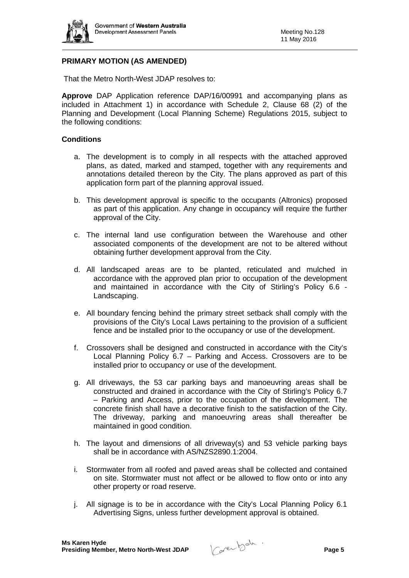

# **PRIMARY MOTION (AS AMENDED)**

That the Metro North-West JDAP resolves to:

**Approve** DAP Application reference DAP/16/00991 and accompanying plans as included in Attachment 1) in accordance with Schedule 2, Clause 68 (2) of the Planning and Development (Local Planning Scheme) Regulations 2015, subject to the following conditions:

### **Conditions**

- a. The development is to comply in all respects with the attached approved plans, as dated, marked and stamped, together with any requirements and annotations detailed thereon by the City. The plans approved as part of this application form part of the planning approval issued.
- b. This development approval is specific to the occupants (Altronics) proposed as part of this application. Any change in occupancy will require the further approval of the City.
- c. The internal land use configuration between the Warehouse and other associated components of the development are not to be altered without obtaining further development approval from the City.
- d. All landscaped areas are to be planted, reticulated and mulched in accordance with the approved plan prior to occupation of the development and maintained in accordance with the City of Stirling's Policy 6.6 - Landscaping.
- e. All boundary fencing behind the primary street setback shall comply with the provisions of the City's Local Laws pertaining to the provision of a sufficient fence and be installed prior to the occupancy or use of the development.
- f. Crossovers shall be designed and constructed in accordance with the City's Local Planning Policy 6.7 – Parking and Access. Crossovers are to be installed prior to occupancy or use of the development.
- g. All driveways, the 53 car parking bays and manoeuvring areas shall be constructed and drained in accordance with the City of Stirling's Policy 6.7 – Parking and Access, prior to the occupation of the development. The concrete finish shall have a decorative finish to the satisfaction of the City. The driveway, parking and manoeuvring areas shall thereafter be maintained in good condition.
- h. The layout and dimensions of all driveway(s) and 53 vehicle parking bays shall be in accordance with AS/NZS2890.1:2004.
- i. Stormwater from all roofed and paved areas shall be collected and contained on site. Stormwater must not affect or be allowed to flow onto or into any other property or road reserve.
- j. All signage is to be in accordance with the City's Local Planning Policy 6.1 Advertising Signs, unless further development approval is obtained.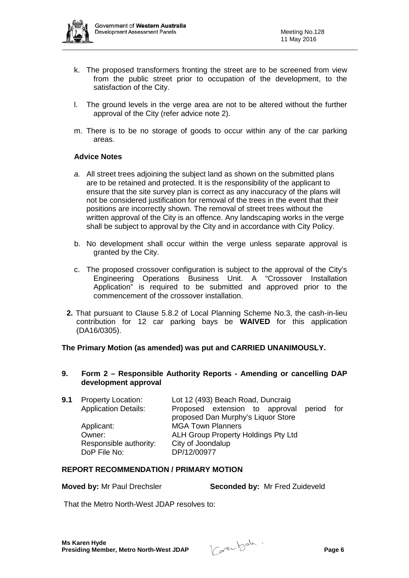

- k. The proposed transformers fronting the street are to be screened from view from the public street prior to occupation of the development, to the satisfaction of the City.
- l. The ground levels in the verge area are not to be altered without the further approval of the City (refer advice note 2).
- m. There is to be no storage of goods to occur within any of the car parking areas.

# **Advice Notes**

- *a.* All street trees adjoining the subject land as shown on the submitted plans are to be retained and protected. It is the responsibility of the applicant to ensure that the site survey plan is correct as any inaccuracy of the plans will not be considered justification for removal of the trees in the event that their positions are incorrectly shown. The removal of street trees without the written approval of the City is an offence. Any landscaping works in the verge shall be subject to approval by the City and in accordance with City Policy.
- b. No development shall occur within the verge unless separate approval is granted by the City.
- c. The proposed crossover configuration is subject to the approval of the City's Engineering Operations Business Unit. A "Crossover Installation Application" is required to be submitted and approved prior to the commencement of the crossover installation.
- **2.** That pursuant to Clause 5.8.2 of Local Planning Scheme No.3, the cash-in-lieu contribution for 12 car parking bays be **WAIVED** for this application (DA16/0305).

#### **The Primary Motion (as amended) was put and CARRIED UNANIMOUSLY.**

### **9. Form 2 – Responsible Authority Reports - Amending or cancelling DAP development approval**

**9.1** Property Location: Lot 12 (493) Beach Road, Duncraig<br>Application Details: Proposed extension to approva Proposed extension to approval period for proposed Dan Murphy's Liquor Store Applicant: MGA Town Planners Owner: ALH Group Property Holdings Pty Ltd Responsible authority: City of Joondalup<br>DoP File No: DP/12/00977 DoP File No:

### **REPORT RECOMMENDATION / PRIMARY MOTION**

**Moved by:** Mr Paul Drechsler **Seconded by:** Mr Fred Zuideveld

That the Metro North-West JDAP resolves to: